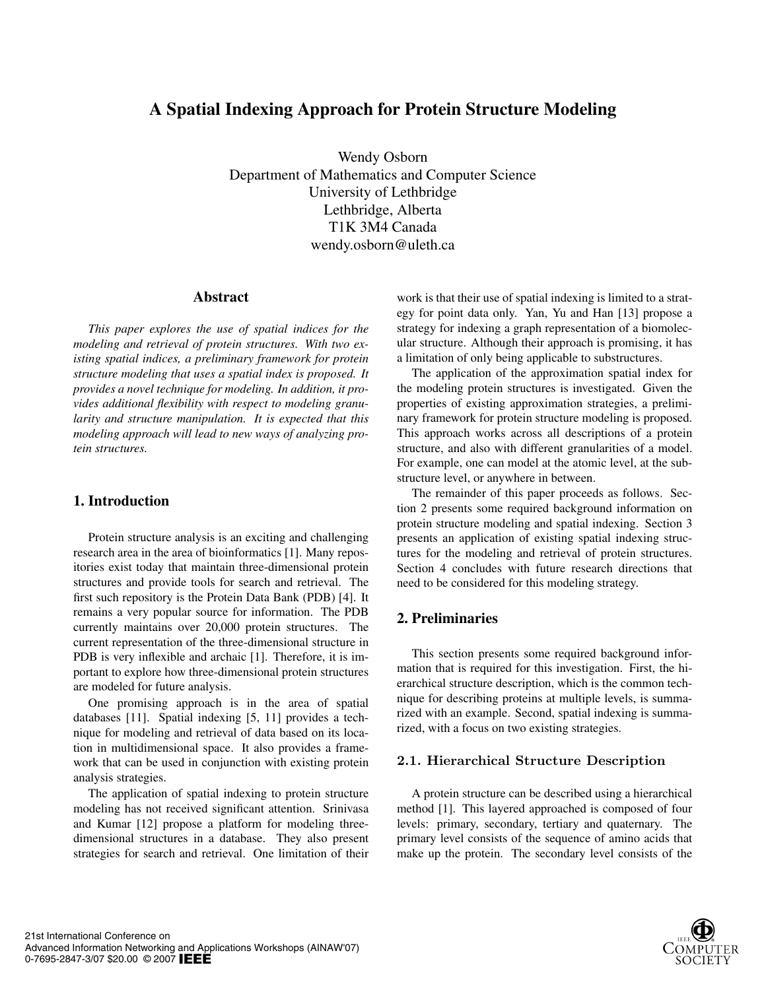# **A Spatial Indexing Approach for Protein Structure Modeling**

Wendy Osborn Department of Mathematics and Computer Science University of Lethbridge Lethbridge, Alberta T1K 3M4 Canada wendy.osborn@uleth.ca

### **Abstract**

*This paper explores the use of spatial indices for the modeling and retrieval of protein structures. With two existing spatial indices, a preliminary framework for protein structure modeling that uses a spatial index is proposed. It provides a novel technique for modeling. In addition, it provides additional flexibility with respect to modeling granularity and structure manipulation. It is expected that this modeling approach will lead to new ways of analyzing protein structures.*

### **1. Introduction**

Protein structure analysis is an exciting and challenging research area in the area of bioinformatics [1]. Many repositories exist today that maintain three-dimensional protein structures and provide tools for search and retrieval. The first such repository is the Protein Data Bank (PDB) [4]. It remains a very popular source for information. The PDB currently maintains over 20,000 protein structures. The current representation of the three-dimensional structure in PDB is very inflexible and archaic [1]. Therefore, it is important to explore how three-dimensional protein structures are modeled for future analysis.

One promising approach is in the area of spatial databases [11]. Spatial indexing [5, 11] provides a technique for modeling and retrieval of data based on its location in multidimensional space. It also provides a framework that can be used in conjunction with existing protein analysis strategies.

The application of spatial indexing to protein structure modeling has not received significant attention. Srinivasa and Kumar [12] propose a platform for modeling threedimensional structures in a database. They also present strategies for search and retrieval. One limitation of their work is that their use of spatial indexing is limited to a strategy for point data only. Yan, Yu and Han [13] propose a strategy for indexing a graph representation of a biomolecular structure. Although their approach is promising, it has a limitation of only being applicable to substructures.

The application of the approximation spatial index for the modeling protein structures is investigated. Given the properties of existing approximation strategies, a preliminary framework for protein structure modeling is proposed. This approach works across all descriptions of a protein structure, and also with different granularities of a model. For example, one can model at the atomic level, at the substructure level, or anywhere in between.

The remainder of this paper proceeds as follows. Section 2 presents some required background information on protein structure modeling and spatial indexing. Section 3 presents an application of existing spatial indexing structures for the modeling and retrieval of protein structures. Section 4 concludes with future research directions that need to be considered for this modeling strategy.

## **2. Preliminaries**

This section presents some required background information that is required for this investigation. First, the hierarchical structure description, which is the common technique for describing proteins at multiple levels, is summarized with an example. Second, spatial indexing is summarized, with a focus on two existing strategies.

### **2.1. Hierarchical Structure Description**

A protein structure can be described using a hierarchical method [1]. This layered approached is composed of four levels: primary, secondary, tertiary and quaternary. The primary level consists of the sequence of amino acids that make up the protein. The secondary level consists of the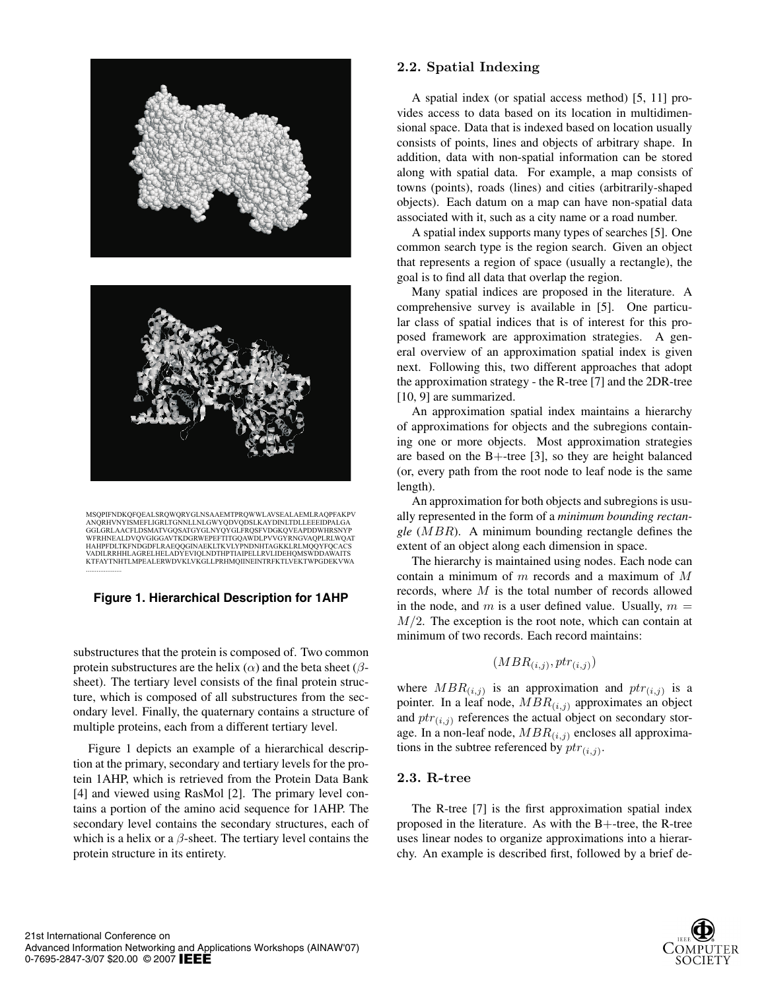

MSQPIFNDKQFQEALSRQWQRYGLNSAAEMTPRQWWLAVSEALAEMLRAQPFAKPV ANQRHVNYISMEFLIGRLTGNNLLNLGWYQDVQDSLKAYDINLTDLLEEEIDPALGA GGLGRLAACFLDSMATVGQSATGYGLNYQYGLFRQSFVDGKQVEAPDDWHRSNYP<br>WFRHNEALDVQVGIGGAVTKDGRWEPEFTITGQAWDLPVVGYRNGVAQPLRLWQAT<br>HAHPFDLTKFNDGDFLRAEQQGINAEKLTKVLYPNDNHTAGKKLRLMQQYFQCACS VADILRRHHLAGRELHELADYEVIQLNDTHPTIAIPELLRVLIDEHQMSWDDAWAITS KTFAYTNHTLMPEALERWDVKLVKGLLPRHMQIINEINTRFKTLVEKTWPGDEKVWA ....................

#### **Figure 1. Hierarchical Description for 1AHP**

substructures that the protein is composed of. Two common protein substructures are the helix  $(\alpha)$  and the beta sheet ( $\beta$ sheet). The tertiary level consists of the final protein structure, which is composed of all substructures from the secondary level. Finally, the quaternary contains a structure of multiple proteins, each from a different tertiary level.

Figure 1 depicts an example of a hierarchical description at the primary, secondary and tertiary levels for the protein 1AHP, which is retrieved from the Protein Data Bank [4] and viewed using RasMol [2]. The primary level contains a portion of the amino acid sequence for 1AHP. The secondary level contains the secondary structures, each of which is a helix or a  $\beta$ -sheet. The tertiary level contains the protein structure in its entirety.

### **2.2. Spatial Indexing**

A spatial index (or spatial access method) [5, 11] provides access to data based on its location in multidimensional space. Data that is indexed based on location usually consists of points, lines and objects of arbitrary shape. In addition, data with non-spatial information can be stored along with spatial data. For example, a map consists of towns (points), roads (lines) and cities (arbitrarily-shaped objects). Each datum on a map can have non-spatial data associated with it, such as a city name or a road number.

A spatial index supports many types of searches [5]. One common search type is the region search. Given an object that represents a region of space (usually a rectangle), the goal is to find all data that overlap the region.

Many spatial indices are proposed in the literature. A comprehensive survey is available in [5]. One particular class of spatial indices that is of interest for this proposed framework are approximation strategies. A general overview of an approximation spatial index is given next. Following this, two different approaches that adopt the approximation strategy - the R-tree [7] and the 2DR-tree [10, 9] are summarized.

An approximation spatial index maintains a hierarchy of approximations for objects and the subregions containing one or more objects. Most approximation strategies are based on the  $B+$ -tree [3], so they are height balanced (or, every path from the root node to leaf node is the same length).

An approximation for both objects and subregions is usually represented in the form of a *minimum bounding rectangle* (MBR). A minimum bounding rectangle defines the extent of an object along each dimension in space.

The hierarchy is maintained using nodes. Each node can contain a minimum of  $m$  records and a maximum of  $M$ records, where M is the total number of records allowed in the node, and m is a user defined value. Usually,  $m =$  $M/2$ . The exception is the root note, which can contain at minimum of two records. Each record maintains:

$$
(MBR_{(i,j)},ptr_{(i,j)})
$$

where  $MBR(i,j)$  is an approximation and  $ptr(i,j)$  is a pointer. In a leaf node,  $MBR(i,j)$  approximates an object and  $ptr_{(i,j)}$  references the actual object on secondary storage. In a non-leaf node,  $MBR(i,j)$  encloses all approximations in the subtree referenced by  $ptr_{(i,j)}$ .

### **2.3. R-tree**

The R-tree [7] is the first approximation spatial index proposed in the literature. As with the B+-tree, the R-tree uses linear nodes to organize approximations into a hierarchy. An example is described first, followed by a brief de-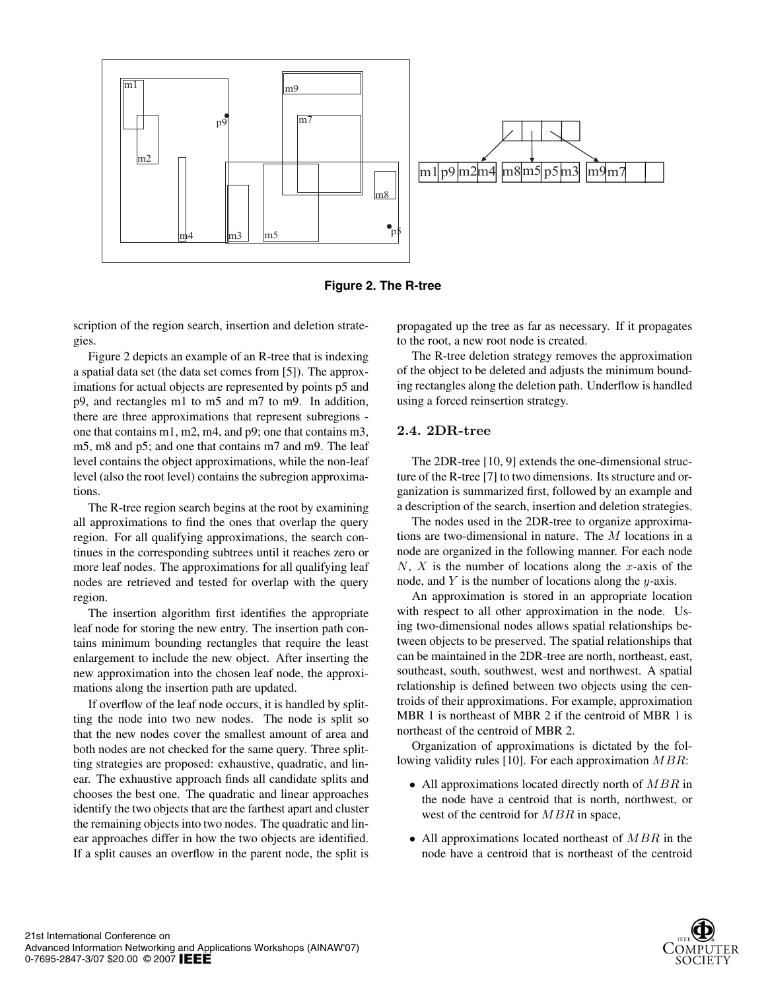

**Figure 2. The R-tree**

scription of the region search, insertion and deletion strategies.

Figure 2 depicts an example of an R-tree that is indexing a spatial data set (the data set comes from [5]). The approximations for actual objects are represented by points p5 and p9, and rectangles m1 to m5 and m7 to m9. In addition, there are three approximations that represent subregions one that contains m1, m2, m4, and p9; one that contains m3, m5, m8 and p5; and one that contains m7 and m9. The leaf level contains the object approximations, while the non-leaf level (also the root level) contains the subregion approximations.

The R-tree region search begins at the root by examining all approximations to find the ones that overlap the query region. For all qualifying approximations, the search continues in the corresponding subtrees until it reaches zero or more leaf nodes. The approximations for all qualifying leaf nodes are retrieved and tested for overlap with the query region.

The insertion algorithm first identifies the appropriate leaf node for storing the new entry. The insertion path contains minimum bounding rectangles that require the least enlargement to include the new object. After inserting the new approximation into the chosen leaf node, the approximations along the insertion path are updated.

If overflow of the leaf node occurs, it is handled by splitting the node into two new nodes. The node is split so that the new nodes cover the smallest amount of area and both nodes are not checked for the same query. Three splitting strategies are proposed: exhaustive, quadratic, and linear. The exhaustive approach finds all candidate splits and chooses the best one. The quadratic and linear approaches identify the two objects that are the farthest apart and cluster the remaining objects into two nodes. The quadratic and linear approaches differ in how the two objects are identified. If a split causes an overflow in the parent node, the split is

propagated up the tree as far as necessary. If it propagates to the root, a new root node is created.

The R-tree deletion strategy removes the approximation of the object to be deleted and adjusts the minimum bounding rectangles along the deletion path. Underflow is handled using a forced reinsertion strategy.

### **2.4. 2DR-tree**

The 2DR-tree [10, 9] extends the one-dimensional structure of the R-tree [7] to two dimensions. Its structure and organization is summarized first, followed by an example and a description of the search, insertion and deletion strategies.

The nodes used in the 2DR-tree to organize approximations are two-dimensional in nature. The M locations in a node are organized in the following manner. For each node  $N, X$  is the number of locations along the x-axis of the node, and  $Y$  is the number of locations along the y-axis.

An approximation is stored in an appropriate location with respect to all other approximation in the node. Using two-dimensional nodes allows spatial relationships between objects to be preserved. The spatial relationships that can be maintained in the 2DR-tree are north, northeast, east, southeast, south, southwest, west and northwest. A spatial relationship is defined between two objects using the centroids of their approximations. For example, approximation MBR 1 is northeast of MBR 2 if the centroid of MBR 1 is northeast of the centroid of MBR 2.

Organization of approximations is dictated by the following validity rules [10]. For each approximation MBR:

- All approximations located directly north of MBR in the node have a centroid that is north, northwest, or west of the centroid for MBR in space,
- All approximations located northeast of MBR in the node have a centroid that is northeast of the centroid

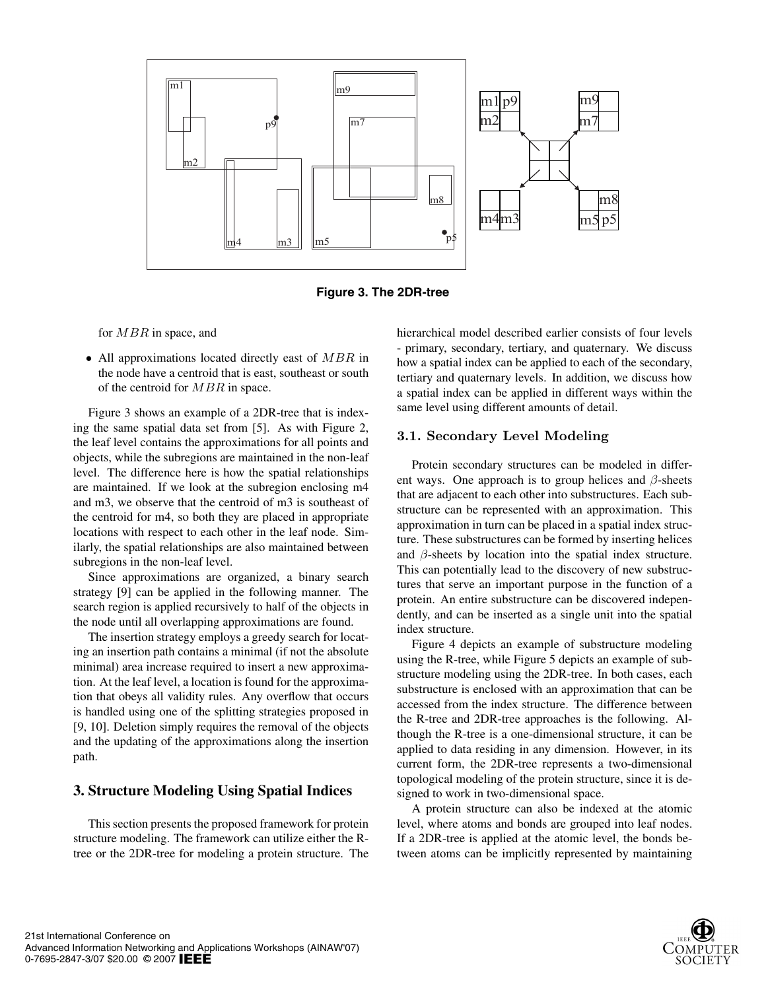

**Figure 3. The 2DR-tree**

for MBR in space, and

• All approximations located directly east of MBR in the node have a centroid that is east, southeast or south of the centroid for MBR in space.

Figure 3 shows an example of a 2DR-tree that is indexing the same spatial data set from [5]. As with Figure 2, the leaf level contains the approximations for all points and objects, while the subregions are maintained in the non-leaf level. The difference here is how the spatial relationships are maintained. If we look at the subregion enclosing m4 and m3, we observe that the centroid of m3 is southeast of the centroid for m4, so both they are placed in appropriate locations with respect to each other in the leaf node. Similarly, the spatial relationships are also maintained between subregions in the non-leaf level.

Since approximations are organized, a binary search strategy [9] can be applied in the following manner. The search region is applied recursively to half of the objects in the node until all overlapping approximations are found.

The insertion strategy employs a greedy search for locating an insertion path contains a minimal (if not the absolute minimal) area increase required to insert a new approximation. At the leaf level, a location is found for the approximation that obeys all validity rules. Any overflow that occurs is handled using one of the splitting strategies proposed in [9, 10]. Deletion simply requires the removal of the objects and the updating of the approximations along the insertion path.

### **3. Structure Modeling Using Spatial Indices**

This section presents the proposed framework for protein structure modeling. The framework can utilize either the Rtree or the 2DR-tree for modeling a protein structure. The

hierarchical model described earlier consists of four levels - primary, secondary, tertiary, and quaternary. We discuss how a spatial index can be applied to each of the secondary, tertiary and quaternary levels. In addition, we discuss how a spatial index can be applied in different ways within the same level using different amounts of detail.

### **3.1. Secondary Level Modeling**

Protein secondary structures can be modeled in different ways. One approach is to group helices and  $\beta$ -sheets that are adjacent to each other into substructures. Each substructure can be represented with an approximation. This approximation in turn can be placed in a spatial index structure. These substructures can be formed by inserting helices and  $\beta$ -sheets by location into the spatial index structure. This can potentially lead to the discovery of new substructures that serve an important purpose in the function of a protein. An entire substructure can be discovered independently, and can be inserted as a single unit into the spatial index structure.

Figure 4 depicts an example of substructure modeling using the R-tree, while Figure 5 depicts an example of substructure modeling using the 2DR-tree. In both cases, each substructure is enclosed with an approximation that can be accessed from the index structure. The difference between the R-tree and 2DR-tree approaches is the following. Although the R-tree is a one-dimensional structure, it can be applied to data residing in any dimension. However, in its current form, the 2DR-tree represents a two-dimensional topological modeling of the protein structure, since it is designed to work in two-dimensional space.

A protein structure can also be indexed at the atomic level, where atoms and bonds are grouped into leaf nodes. If a 2DR-tree is applied at the atomic level, the bonds between atoms can be implicitly represented by maintaining

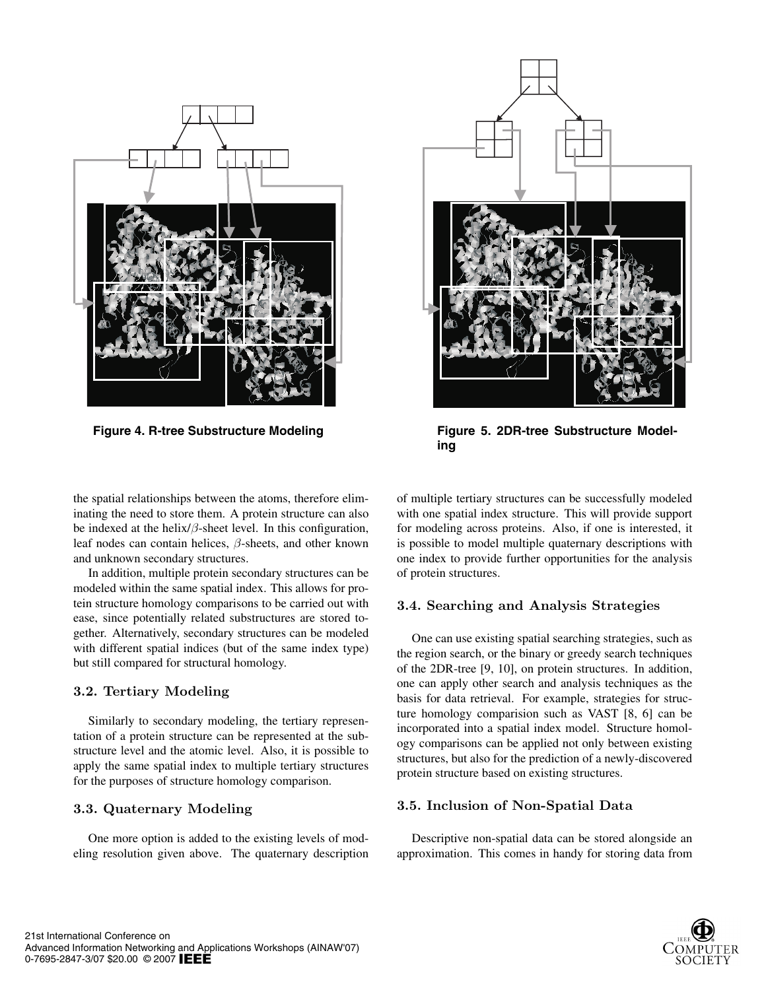

the spatial relationships between the atoms, therefore eliminating the need to store them. A protein structure can also be indexed at the helix/ $\beta$ -sheet level. In this configuration, leaf nodes can contain helices,  $\beta$ -sheets, and other known and unknown secondary structures.

In addition, multiple protein secondary structures can be modeled within the same spatial index. This allows for protein structure homology comparisons to be carried out with ease, since potentially related substructures are stored together. Alternatively, secondary structures can be modeled with different spatial indices (but of the same index type) but still compared for structural homology.

### **3.2. Tertiary Modeling**

Similarly to secondary modeling, the tertiary representation of a protein structure can be represented at the substructure level and the atomic level. Also, it is possible to apply the same spatial index to multiple tertiary structures for the purposes of structure homology comparison.

### **3.3. Quaternary Modeling**

One more option is added to the existing levels of modeling resolution given above. The quaternary description



**Figure 4. R-tree Substructure Modeling Figure 5. 2DR-tree Substructure Modeling**

of multiple tertiary structures can be successfully modeled with one spatial index structure. This will provide support for modeling across proteins. Also, if one is interested, it is possible to model multiple quaternary descriptions with one index to provide further opportunities for the analysis of protein structures.

### **3.4. Searching and Analysis Strategies**

One can use existing spatial searching strategies, such as the region search, or the binary or greedy search techniques of the 2DR-tree [9, 10], on protein structures. In addition, one can apply other search and analysis techniques as the basis for data retrieval. For example, strategies for structure homology comparision such as VAST [8, 6] can be incorporated into a spatial index model. Structure homology comparisons can be applied not only between existing structures, but also for the prediction of a newly-discovered protein structure based on existing structures.

#### **3.5. Inclusion of Non-Spatial Data**

Descriptive non-spatial data can be stored alongside an approximation. This comes in handy for storing data from